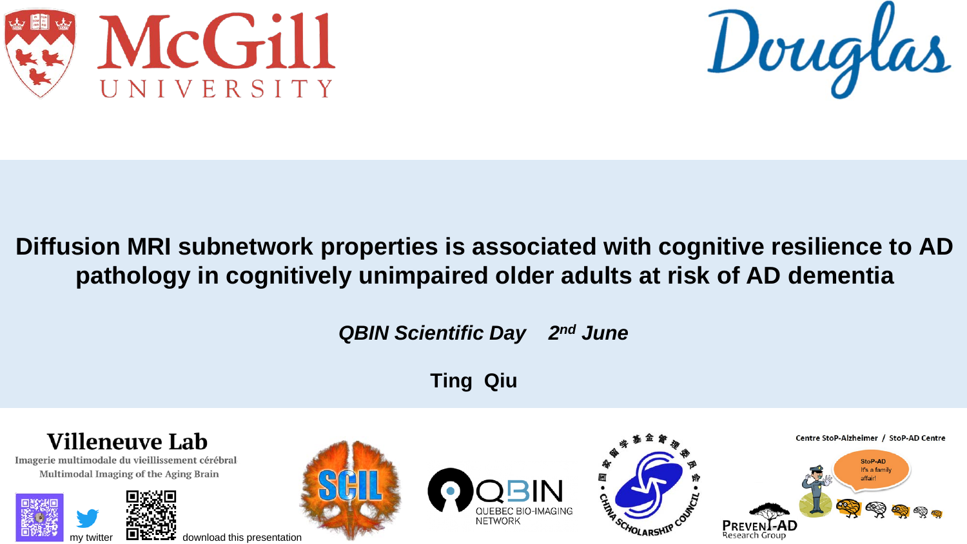



## **Diffusion MRI subnetwork properties is associated with cognitive resilience to AD pathology in cognitively unimpaired older adults at risk of AD dementia**

*QBIN Scientific Day 2nd June*

**Ting Qiu**

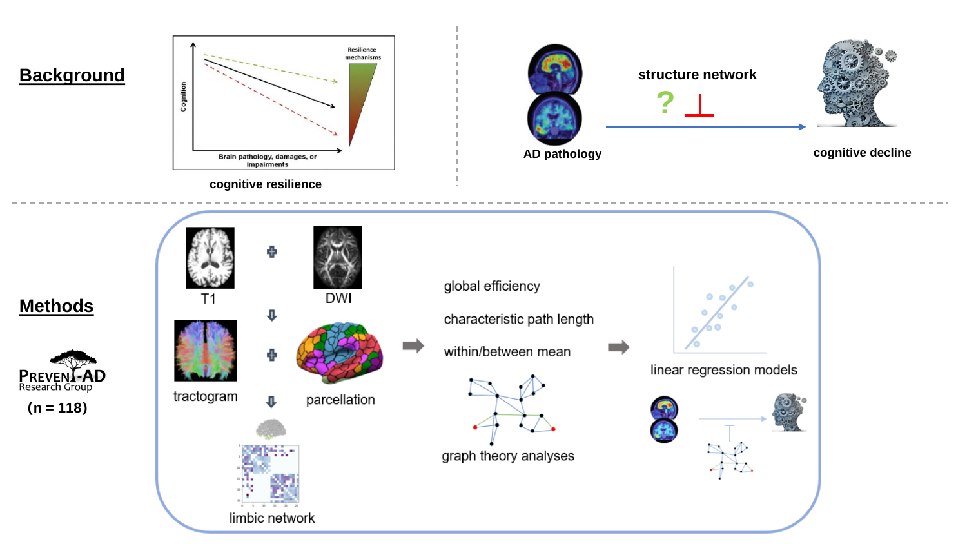